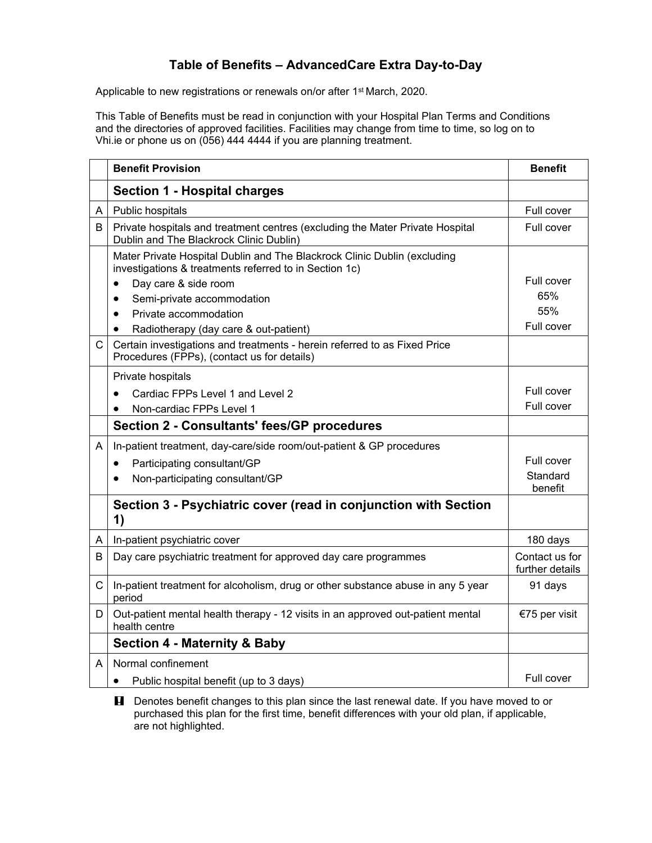## **Table of Benefits – AdvancedCare Extra Day-to-Day**

Applicable to new registrations or renewals on/or after 1<sup>st</sup> March, 2020.

This Table of Benefits must be read in conjunction with your Hospital Plan Terms and Conditions and the directories of approved facilities. Facilities may change from time to time, so log on to Vhi.ie or phone us on (056) 444 4444 if you are planning treatment.

|   | <b>Benefit Provision</b>                                                                                                           | <b>Benefit</b>                    |
|---|------------------------------------------------------------------------------------------------------------------------------------|-----------------------------------|
|   | <b>Section 1 - Hospital charges</b>                                                                                                |                                   |
| A | Public hospitals                                                                                                                   | Full cover                        |
| B | Private hospitals and treatment centres (excluding the Mater Private Hospital<br>Dublin and The Blackrock Clinic Dublin)           | Full cover                        |
|   | Mater Private Hospital Dublin and The Blackrock Clinic Dublin (excluding<br>investigations & treatments referred to in Section 1c) |                                   |
|   | Day care & side room<br>$\bullet$                                                                                                  | Full cover                        |
|   | Semi-private accommodation<br>$\bullet$                                                                                            | 65%                               |
|   | Private accommodation<br>$\bullet$                                                                                                 | 55%                               |
|   | Radiotherapy (day care & out-patient)<br>$\bullet$                                                                                 | Full cover                        |
| C | Certain investigations and treatments - herein referred to as Fixed Price<br>Procedures (FPPs), (contact us for details)           |                                   |
|   | Private hospitals                                                                                                                  |                                   |
|   | Cardiac FPPs Level 1 and Level 2                                                                                                   | Full cover                        |
|   | Non-cardiac FPPs Level 1                                                                                                           | Full cover                        |
|   | <b>Section 2 - Consultants' fees/GP procedures</b>                                                                                 |                                   |
| A | In-patient treatment, day-care/side room/out-patient & GP procedures                                                               |                                   |
|   | Participating consultant/GP<br>$\bullet$                                                                                           | Full cover                        |
|   | Non-participating consultant/GP                                                                                                    | Standard<br>benefit               |
|   | Section 3 - Psychiatric cover (read in conjunction with Section<br>1)                                                              |                                   |
| A | In-patient psychiatric cover                                                                                                       | 180 days                          |
| B | Day care psychiatric treatment for approved day care programmes                                                                    | Contact us for<br>further details |
| C | In-patient treatment for alcoholism, drug or other substance abuse in any 5 year<br>period                                         | 91 days                           |
| D | Out-patient mental health therapy - 12 visits in an approved out-patient mental<br>health centre                                   | €75 per visit                     |
|   | <b>Section 4 - Maternity &amp; Baby</b>                                                                                            |                                   |
| A | Normal confinement                                                                                                                 |                                   |
|   | Public hospital benefit (up to 3 days)<br>$\bullet$                                                                                | Full cover                        |

**H** Denotes benefit changes to this plan since the last renewal date. If you have moved to or purchased this plan for the first time, benefit differences with your old plan, if applicable, are not highlighted.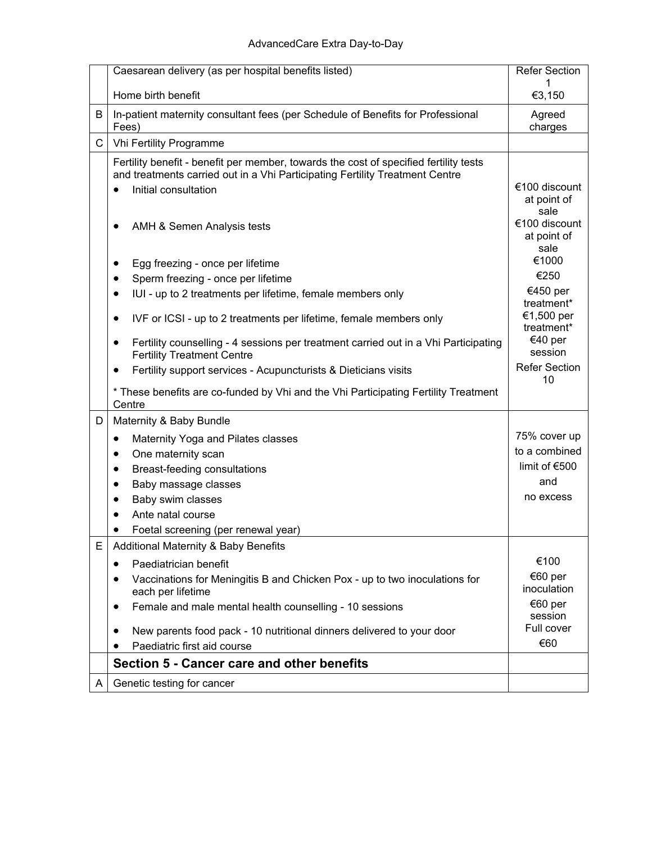|    | Caesarean delivery (as per hospital benefits listed)                                                                                                                                                                                                                                                                                                                                                                                                                                                                                                                                                                                                                                             | <b>Refer Section</b>                                                                                                                                                                                    |
|----|--------------------------------------------------------------------------------------------------------------------------------------------------------------------------------------------------------------------------------------------------------------------------------------------------------------------------------------------------------------------------------------------------------------------------------------------------------------------------------------------------------------------------------------------------------------------------------------------------------------------------------------------------------------------------------------------------|---------------------------------------------------------------------------------------------------------------------------------------------------------------------------------------------------------|
|    | Home birth benefit                                                                                                                                                                                                                                                                                                                                                                                                                                                                                                                                                                                                                                                                               | €3,150                                                                                                                                                                                                  |
| В  | In-patient maternity consultant fees (per Schedule of Benefits for Professional<br>Fees)                                                                                                                                                                                                                                                                                                                                                                                                                                                                                                                                                                                                         | Agreed<br>charges                                                                                                                                                                                       |
| C. | Vhi Fertility Programme                                                                                                                                                                                                                                                                                                                                                                                                                                                                                                                                                                                                                                                                          |                                                                                                                                                                                                         |
|    | Fertility benefit - benefit per member, towards the cost of specified fertility tests<br>and treatments carried out in a Vhi Participating Fertility Treatment Centre<br>Initial consultation<br>$\bullet$<br>AMH & Semen Analysis tests<br>٠<br>Egg freezing - once per lifetime<br>٠<br>Sperm freezing - once per lifetime<br>٠<br>IUI - up to 2 treatments per lifetime, female members only<br>$\bullet$<br>IVF or ICSI - up to 2 treatments per lifetime, female members only<br>٠<br>Fertility counselling - 4 sessions per treatment carried out in a Vhi Participating<br>٠<br><b>Fertility Treatment Centre</b><br>Fertility support services - Acupuncturists & Dieticians visits<br>٠ | €100 discount<br>at point of<br>sale<br>€100 discount<br>at point of<br>sale<br>€1000<br>€250<br>€450 per<br>treatment*<br>€1,500 per<br>treatment*<br>€40 per<br>session<br><b>Refer Section</b><br>10 |
|    | * These benefits are co-funded by Vhi and the Vhi Participating Fertility Treatment<br>Centre                                                                                                                                                                                                                                                                                                                                                                                                                                                                                                                                                                                                    |                                                                                                                                                                                                         |
| D  | Maternity & Baby Bundle                                                                                                                                                                                                                                                                                                                                                                                                                                                                                                                                                                                                                                                                          |                                                                                                                                                                                                         |
|    | Maternity Yoga and Pilates classes<br>$\bullet$                                                                                                                                                                                                                                                                                                                                                                                                                                                                                                                                                                                                                                                  | 75% cover up                                                                                                                                                                                            |
|    | One maternity scan<br>٠                                                                                                                                                                                                                                                                                                                                                                                                                                                                                                                                                                                                                                                                          | to a combined                                                                                                                                                                                           |
|    | Breast-feeding consultations<br>٠                                                                                                                                                                                                                                                                                                                                                                                                                                                                                                                                                                                                                                                                | limit of €500                                                                                                                                                                                           |
|    | Baby massage classes<br>٠                                                                                                                                                                                                                                                                                                                                                                                                                                                                                                                                                                                                                                                                        | and<br>no excess                                                                                                                                                                                        |
|    | Baby swim classes                                                                                                                                                                                                                                                                                                                                                                                                                                                                                                                                                                                                                                                                                |                                                                                                                                                                                                         |
|    | Ante natal course                                                                                                                                                                                                                                                                                                                                                                                                                                                                                                                                                                                                                                                                                |                                                                                                                                                                                                         |
| Е  | Foetal screening (per renewal year)<br>Additional Maternity & Baby Benefits                                                                                                                                                                                                                                                                                                                                                                                                                                                                                                                                                                                                                      |                                                                                                                                                                                                         |
|    | Paediatrician benefit<br>٠                                                                                                                                                                                                                                                                                                                                                                                                                                                                                                                                                                                                                                                                       | €100                                                                                                                                                                                                    |
|    | Vaccinations for Meningitis B and Chicken Pox - up to two inoculations for<br>$\bullet$<br>each per lifetime                                                                                                                                                                                                                                                                                                                                                                                                                                                                                                                                                                                     | €60 per<br>inoculation                                                                                                                                                                                  |
|    | Female and male mental health counselling - 10 sessions<br>٠                                                                                                                                                                                                                                                                                                                                                                                                                                                                                                                                                                                                                                     | €60 per<br>session<br>Full cover                                                                                                                                                                        |
|    | New parents food pack - 10 nutritional dinners delivered to your door                                                                                                                                                                                                                                                                                                                                                                                                                                                                                                                                                                                                                            | €60                                                                                                                                                                                                     |
|    | Paediatric first aid course<br>Section 5 - Cancer care and other benefits                                                                                                                                                                                                                                                                                                                                                                                                                                                                                                                                                                                                                        |                                                                                                                                                                                                         |
|    |                                                                                                                                                                                                                                                                                                                                                                                                                                                                                                                                                                                                                                                                                                  |                                                                                                                                                                                                         |
| A  | Genetic testing for cancer                                                                                                                                                                                                                                                                                                                                                                                                                                                                                                                                                                                                                                                                       |                                                                                                                                                                                                         |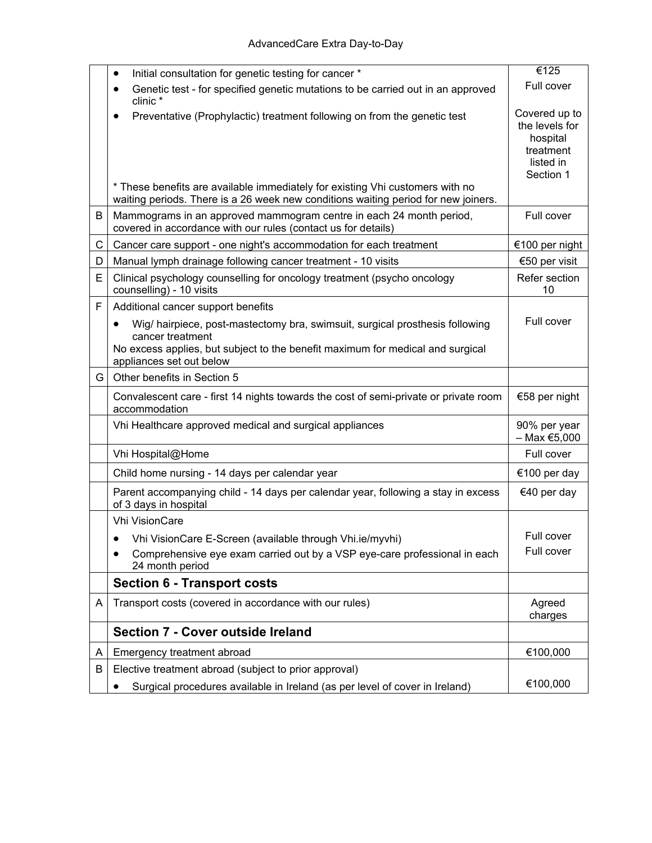|              | Initial consultation for genetic testing for cancer *                                                                                                                                                          | €125                                                                               |
|--------------|----------------------------------------------------------------------------------------------------------------------------------------------------------------------------------------------------------------|------------------------------------------------------------------------------------|
|              | Genetic test - for specified genetic mutations to be carried out in an approved<br>$\bullet$<br>clinic*                                                                                                        | Full cover                                                                         |
|              | Preventative (Prophylactic) treatment following on from the genetic test<br>$\bullet$                                                                                                                          | Covered up to<br>the levels for<br>hospital<br>treatment<br>listed in<br>Section 1 |
|              | * These benefits are available immediately for existing Vhi customers with no<br>waiting periods. There is a 26 week new conditions waiting period for new joiners.                                            |                                                                                    |
| В            | Mammograms in an approved mammogram centre in each 24 month period,<br>covered in accordance with our rules (contact us for details)                                                                           | Full cover                                                                         |
| $\mathsf{C}$ | Cancer care support - one night's accommodation for each treatment                                                                                                                                             | €100 per night                                                                     |
| D            | Manual lymph drainage following cancer treatment - 10 visits                                                                                                                                                   | €50 per visit                                                                      |
| E            | Clinical psychology counselling for oncology treatment (psycho oncology<br>counselling) - 10 visits                                                                                                            | Refer section<br>10                                                                |
| F            | Additional cancer support benefits                                                                                                                                                                             |                                                                                    |
|              | Wig/ hairpiece, post-mastectomy bra, swimsuit, surgical prosthesis following<br>cancer treatment<br>No excess applies, but subject to the benefit maximum for medical and surgical<br>appliances set out below | Full cover                                                                         |
| G            | Other benefits in Section 5                                                                                                                                                                                    |                                                                                    |
|              | Convalescent care - first 14 nights towards the cost of semi-private or private room<br>accommodation                                                                                                          | €58 per night                                                                      |
|              | Vhi Healthcare approved medical and surgical appliances                                                                                                                                                        | 90% per year<br>$-$ Max €5,000                                                     |
|              | Vhi Hospital@Home                                                                                                                                                                                              | Full cover                                                                         |
|              | Child home nursing - 14 days per calendar year                                                                                                                                                                 | €100 per day                                                                       |
|              | Parent accompanying child - 14 days per calendar year, following a stay in excess<br>of 3 days in hospital                                                                                                     | €40 per day                                                                        |
|              | <b>Vhi VisionCare</b>                                                                                                                                                                                          |                                                                                    |
|              | Vhi VisionCare E-Screen (available through Vhi.ie/myvhi)                                                                                                                                                       | Full cover                                                                         |
|              | Comprehensive eye exam carried out by a VSP eye-care professional in each<br>24 month period                                                                                                                   | Full cover                                                                         |
|              | <b>Section 6 - Transport costs</b>                                                                                                                                                                             |                                                                                    |
| A            | Transport costs (covered in accordance with our rules)                                                                                                                                                         | Agreed<br>charges                                                                  |
|              | Section 7 - Cover outside Ireland                                                                                                                                                                              |                                                                                    |
| A            | Emergency treatment abroad                                                                                                                                                                                     | €100,000                                                                           |
| В            | Elective treatment abroad (subject to prior approval)                                                                                                                                                          |                                                                                    |
|              | Surgical procedures available in Ireland (as per level of cover in Ireland)                                                                                                                                    | €100,000                                                                           |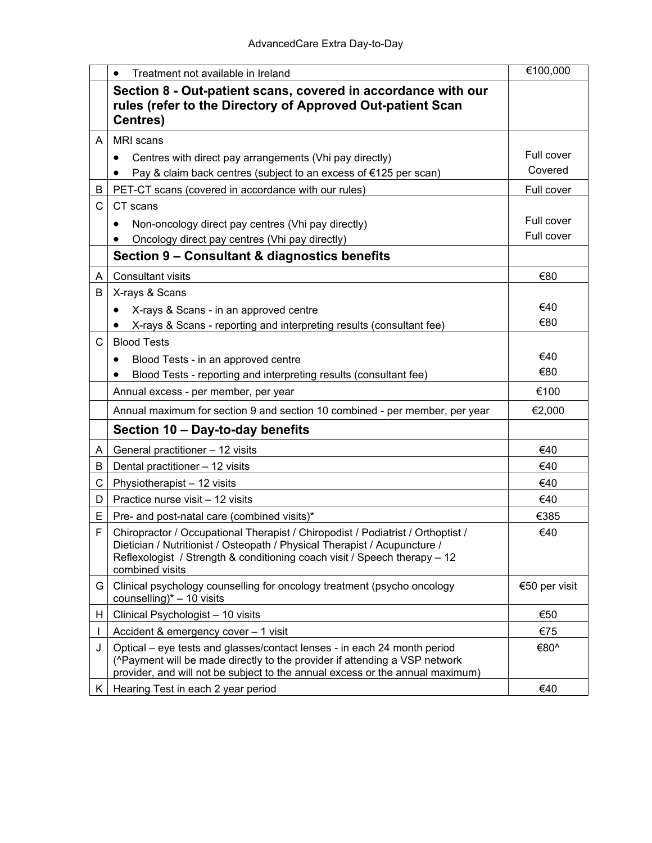|    | Treatment not available in Ireland<br>$\bullet$                                                                                                                                                                                                              | €100,000      |
|----|--------------------------------------------------------------------------------------------------------------------------------------------------------------------------------------------------------------------------------------------------------------|---------------|
|    | Section 8 - Out-patient scans, covered in accordance with our<br>rules (refer to the Directory of Approved Out-patient Scan<br>Centres)                                                                                                                      |               |
| A  | <b>MRI</b> scans                                                                                                                                                                                                                                             |               |
|    | Centres with direct pay arrangements (Vhi pay directly)<br>$\bullet$                                                                                                                                                                                         | Full cover    |
|    | Pay & claim back centres (subject to an excess of €125 per scan)                                                                                                                                                                                             | Covered       |
| В  | PET-CT scans (covered in accordance with our rules)                                                                                                                                                                                                          | Full cover    |
| C  | CT scans                                                                                                                                                                                                                                                     |               |
|    | Non-oncology direct pay centres (Vhi pay directly)<br>$\bullet$                                                                                                                                                                                              | Full cover    |
|    | Oncology direct pay centres (Vhi pay directly)                                                                                                                                                                                                               | Full cover    |
|    | Section 9 – Consultant & diagnostics benefits                                                                                                                                                                                                                |               |
| A  | <b>Consultant visits</b>                                                                                                                                                                                                                                     | €80           |
| B  | X-rays & Scans                                                                                                                                                                                                                                               |               |
|    | X-rays & Scans - in an approved centre<br>$\bullet$                                                                                                                                                                                                          | €40           |
|    | X-rays & Scans - reporting and interpreting results (consultant fee)                                                                                                                                                                                         | €80           |
| C  | <b>Blood Tests</b>                                                                                                                                                                                                                                           |               |
|    | Blood Tests - in an approved centre                                                                                                                                                                                                                          | €40           |
|    | Blood Tests - reporting and interpreting results (consultant fee)                                                                                                                                                                                            | €80           |
|    | Annual excess - per member, per year                                                                                                                                                                                                                         | €100          |
|    | Annual maximum for section 9 and section 10 combined - per member, per year                                                                                                                                                                                  | €2,000        |
|    | Section 10 - Day-to-day benefits                                                                                                                                                                                                                             |               |
| A  | General practitioner - 12 visits                                                                                                                                                                                                                             | €40           |
| B  | Dental practitioner - 12 visits                                                                                                                                                                                                                              | €40           |
| C  | Physiotherapist - 12 visits                                                                                                                                                                                                                                  | €40           |
| D  | Practice nurse visit - 12 visits                                                                                                                                                                                                                             | €40           |
| E  | Pre- and post-natal care (combined visits)*                                                                                                                                                                                                                  | €385          |
| F  | Chiropractor / Occupational Therapist / Chiropodist / Podiatrist / Orthoptist /<br>Dietician / Nutritionist / Osteopath / Physical Therapist / Acupuncture /<br>Reflexologist / Strength & conditioning coach visit / Speech therapy - 12<br>combined visits | €40           |
| G  | Clinical psychology counselling for oncology treatment (psycho oncology<br>counselling) $* - 10$ visits                                                                                                                                                      | €50 per visit |
| н  | Clinical Psychologist - 10 visits                                                                                                                                                                                                                            | €50           |
| L  | Accident & emergency cover - 1 visit                                                                                                                                                                                                                         | €75           |
| J  | Optical – eye tests and glasses/contact lenses - in each 24 month period<br>(^Payment will be made directly to the provider if attending a VSP network<br>provider, and will not be subject to the annual excess or the annual maximum)                      | €80^          |
| K. | Hearing Test in each 2 year period                                                                                                                                                                                                                           | €40           |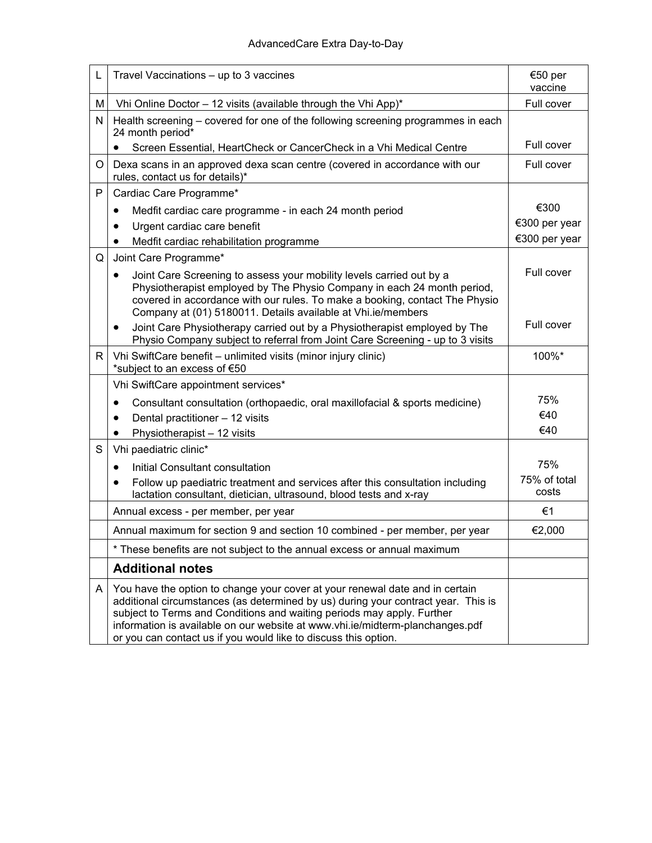| L | Travel Vaccinations – up to 3 vaccines                                                                                                                                                                                                                                                                                                                                                          | €50 per<br>vaccine    |
|---|-------------------------------------------------------------------------------------------------------------------------------------------------------------------------------------------------------------------------------------------------------------------------------------------------------------------------------------------------------------------------------------------------|-----------------------|
| М | Vhi Online Doctor - 12 visits (available through the Vhi App)*                                                                                                                                                                                                                                                                                                                                  | Full cover            |
| N | Health screening – covered for one of the following screening programmes in each<br>24 month period*                                                                                                                                                                                                                                                                                            |                       |
|   | Screen Essential, HeartCheck or CancerCheck in a Vhi Medical Centre<br>$\bullet$                                                                                                                                                                                                                                                                                                                | Full cover            |
| O | Dexa scans in an approved dexa scan centre (covered in accordance with our<br>rules, contact us for details)*                                                                                                                                                                                                                                                                                   | Full cover            |
| P | Cardiac Care Programme*                                                                                                                                                                                                                                                                                                                                                                         |                       |
|   | Medfit cardiac care programme - in each 24 month period<br>٠                                                                                                                                                                                                                                                                                                                                    | €300                  |
|   | Urgent cardiac care benefit<br>$\bullet$                                                                                                                                                                                                                                                                                                                                                        | €300 per year         |
|   | Medfit cardiac rehabilitation programme<br>$\bullet$                                                                                                                                                                                                                                                                                                                                            | €300 per year         |
| Q | Joint Care Programme*                                                                                                                                                                                                                                                                                                                                                                           |                       |
|   | Joint Care Screening to assess your mobility levels carried out by a<br>٠<br>Physiotherapist employed by The Physio Company in each 24 month period,<br>covered in accordance with our rules. To make a booking, contact The Physio<br>Company at (01) 5180011. Details available at Vhi.ie/members                                                                                             | Full cover            |
|   | Joint Care Physiotherapy carried out by a Physiotherapist employed by The<br>٠<br>Physio Company subject to referral from Joint Care Screening - up to 3 visits                                                                                                                                                                                                                                 | Full cover            |
| R | Vhi SwiftCare benefit - unlimited visits (minor injury clinic)<br>*subject to an excess of €50                                                                                                                                                                                                                                                                                                  | 100%*                 |
|   | Vhi SwiftCare appointment services*                                                                                                                                                                                                                                                                                                                                                             |                       |
|   | Consultant consultation (orthopaedic, oral maxillofacial & sports medicine)<br>٠                                                                                                                                                                                                                                                                                                                | 75%                   |
|   | Dental practitioner - 12 visits<br>$\bullet$                                                                                                                                                                                                                                                                                                                                                    | €40                   |
|   | Physiotherapist - 12 visits<br>$\bullet$                                                                                                                                                                                                                                                                                                                                                        | €40                   |
| S | Vhi paediatric clinic*                                                                                                                                                                                                                                                                                                                                                                          |                       |
|   | Initial Consultant consultation<br>$\bullet$                                                                                                                                                                                                                                                                                                                                                    | 75%                   |
|   | Follow up paediatric treatment and services after this consultation including<br>lactation consultant, dietician, ultrasound, blood tests and x-ray                                                                                                                                                                                                                                             | 75% of total<br>costs |
|   | Annual excess - per member, per year                                                                                                                                                                                                                                                                                                                                                            | €1                    |
|   | Annual maximum for section 9 and section 10 combined - per member, per year                                                                                                                                                                                                                                                                                                                     | €2,000                |
|   | These benefits are not subject to the annual excess or annual maximum                                                                                                                                                                                                                                                                                                                           |                       |
|   | <b>Additional notes</b>                                                                                                                                                                                                                                                                                                                                                                         |                       |
| A | You have the option to change your cover at your renewal date and in certain<br>additional circumstances (as determined by us) during your contract year. This is<br>subject to Terms and Conditions and waiting periods may apply. Further<br>information is available on our website at www.vhi.ie/midterm-planchanges.pdf<br>or you can contact us if you would like to discuss this option. |                       |